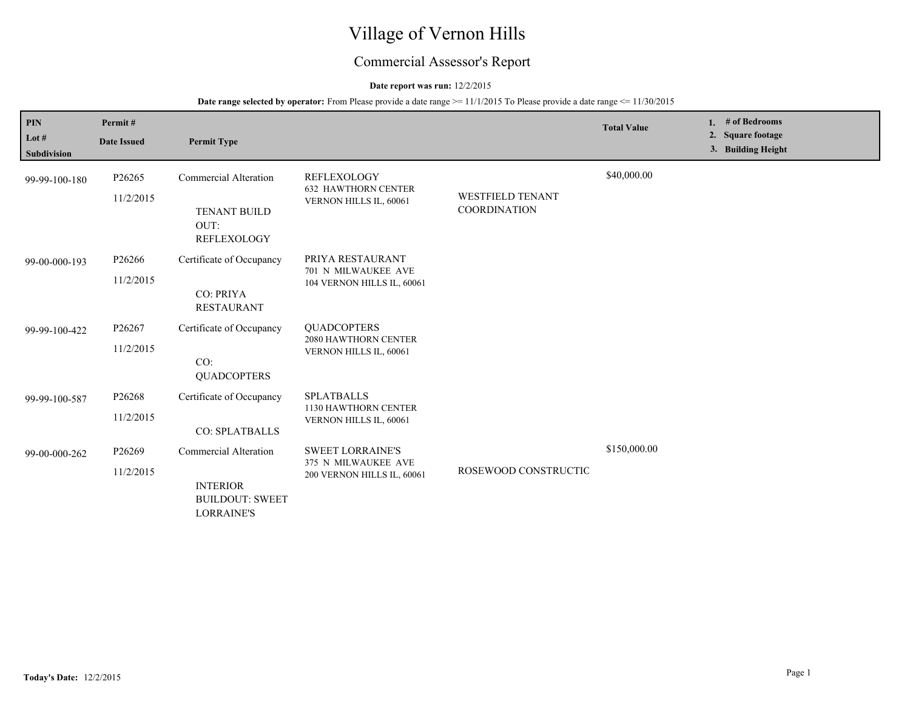# Village of Vernon Hills

## Commercial Assessor's Report

## **Date report was run:** 12/2/2015

| <b>PIN</b><br>Lot $#$<br><b>Subdivision</b> | Permit#<br><b>Date Issued</b> | <b>Permit Type</b>                                                                             |                                                                              |                                                | <b>Total Value</b> | 1. $#$ of Bedrooms<br>2. Square footage<br>3. Building Height |
|---------------------------------------------|-------------------------------|------------------------------------------------------------------------------------------------|------------------------------------------------------------------------------|------------------------------------------------|--------------------|---------------------------------------------------------------|
| 99-99-100-180                               | P26265<br>11/2/2015           | Commercial Alteration<br><b>TENANT BUILD</b><br>OUT:<br>REFLEXOLOGY                            | <b>REFLEXOLOGY</b><br><b>632 HAWTHORN CENTER</b><br>VERNON HILLS IL, 60061   | <b>WESTFIELD TENANT</b><br><b>COORDINATION</b> | \$40,000.00        |                                                               |
| 99-00-000-193                               | P26266<br>11/2/2015           | Certificate of Occupancy<br>CO: PRIYA<br><b>RESTAURANT</b>                                     | PRIYA RESTAURANT<br>701 N MILWAUKEE AVE<br>104 VERNON HILLS IL, 60061        |                                                |                    |                                                               |
| 99-99-100-422                               | P26267<br>11/2/2015           | Certificate of Occupancy<br>CO:<br><b>QUADCOPTERS</b>                                          | <b>OUADCOPTERS</b><br>2080 HAWTHORN CENTER<br>VERNON HILLS IL, 60061         |                                                |                    |                                                               |
| 99-99-100-587                               | P26268<br>11/2/2015           | Certificate of Occupancy<br><b>CO: SPLATBALLS</b>                                              | <b>SPLATBALLS</b><br>1130 HAWTHORN CENTER<br>VERNON HILLS IL, 60061          |                                                |                    |                                                               |
| 99-00-000-262                               | P26269<br>11/2/2015           | <b>Commercial Alteration</b><br><b>INTERIOR</b><br><b>BUILDOUT: SWEET</b><br><b>LORRAINE'S</b> | <b>SWEET LORRAINE'S</b><br>375 N MILWAUKEE AVE<br>200 VERNON HILLS IL, 60061 | ROSEWOOD CONSTRUCTIC                           | \$150,000.00       |                                                               |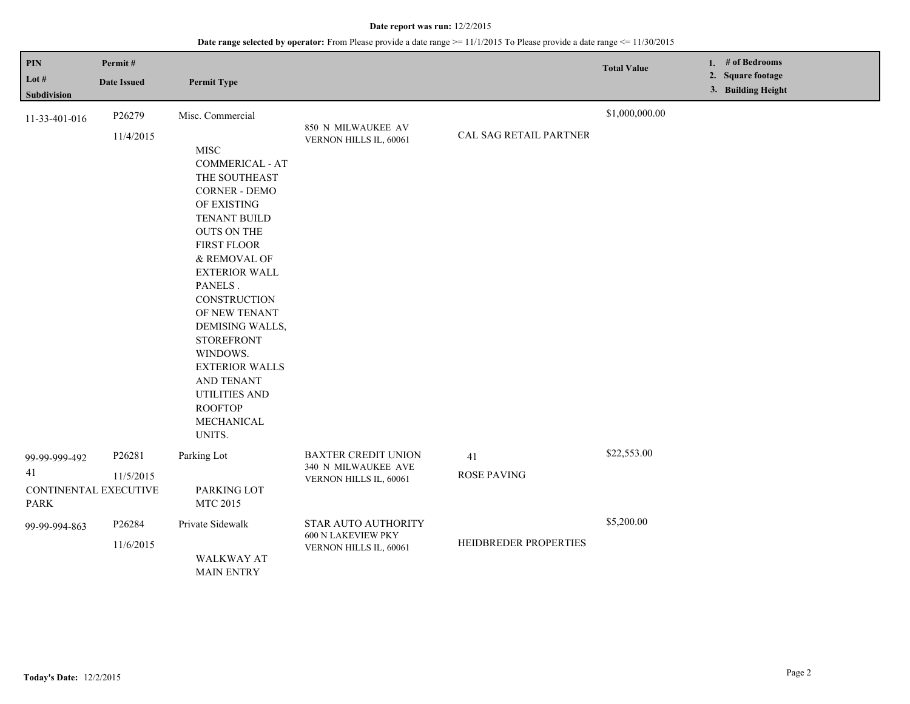| PIN<br>Lot $#$<br>Subdivision                               | Permit#<br><b>Date Issued</b> | <b>Permit Type</b>                                                                                                                                                                                                                                                                                                                                                                                                             |                                                                             |                          | <b>Total Value</b> | 1. # of Bedrooms<br>2. Square footage<br>3. Building Height |
|-------------------------------------------------------------|-------------------------------|--------------------------------------------------------------------------------------------------------------------------------------------------------------------------------------------------------------------------------------------------------------------------------------------------------------------------------------------------------------------------------------------------------------------------------|-----------------------------------------------------------------------------|--------------------------|--------------------|-------------------------------------------------------------|
| 11-33-401-016                                               | P26279<br>11/4/2015           | Misc. Commercial<br><b>MISC</b><br><b>COMMERICAL - AT</b><br>THE SOUTHEAST<br><b>CORNER - DEMO</b><br>OF EXISTING<br>TENANT BUILD<br><b>OUTS ON THE</b><br><b>FIRST FLOOR</b><br>& REMOVAL OF<br><b>EXTERIOR WALL</b><br>PANELS.<br>CONSTRUCTION<br>OF NEW TENANT<br>DEMISING WALLS,<br><b>STOREFRONT</b><br>WINDOWS.<br><b>EXTERIOR WALLS</b><br>AND TENANT<br><b>UTILITIES AND</b><br><b>ROOFTOP</b><br>MECHANICAL<br>UNITS. | 850 N MILWAUKEE AV<br>VERNON HILLS IL, 60061                                | CAL SAG RETAIL PARTNER   | \$1,000,000.00     |                                                             |
| 99-99-999-492<br>41<br>CONTINENTAL EXECUTIVE<br><b>PARK</b> | P26281<br>11/5/2015           | Parking Lot<br>PARKING LOT<br>MTC 2015                                                                                                                                                                                                                                                                                                                                                                                         | <b>BAXTER CREDIT UNION</b><br>340 N MILWAUKEE AVE<br>VERNON HILLS IL, 60061 | 41<br><b>ROSE PAVING</b> | \$22,553.00        |                                                             |
| 99-99-994-863                                               | P26284<br>11/6/2015           | Private Sidewalk<br>WALKWAY AT<br><b>MAIN ENTRY</b>                                                                                                                                                                                                                                                                                                                                                                            | STAR AUTO AUTHORITY<br>600 N LAKEVIEW PKY<br>VERNON HILLS IL, 60061         | HEIDBREDER PROPERTIES    | \$5,200.00         |                                                             |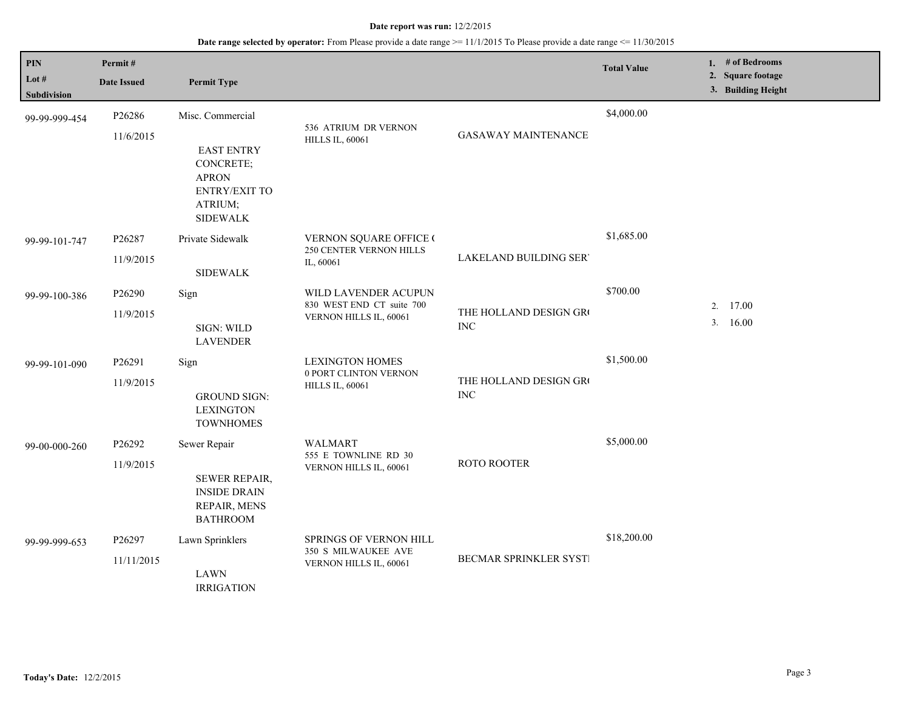| PIN<br>Lot $#$<br><b>Subdivision</b> | Permit#<br><b>Date Issued</b> | <b>Permit Type</b>                                                                                                |                                                                                |                                      | <b>Total Value</b> | 1. # of Bedrooms<br>2. Square footage<br>3. Building Height |
|--------------------------------------|-------------------------------|-------------------------------------------------------------------------------------------------------------------|--------------------------------------------------------------------------------|--------------------------------------|--------------------|-------------------------------------------------------------|
| 99-99-999-454                        | P26286<br>11/6/2015           | Misc. Commercial<br><b>EAST ENTRY</b><br>CONCRETE;<br><b>APRON</b><br>ENTRY/EXIT TO<br>ATRIUM;<br><b>SIDEWALK</b> | 536 ATRIUM DR VERNON<br><b>HILLS IL, 60061</b>                                 | <b>GASAWAY MAINTENANCE</b>           | \$4,000.00         |                                                             |
| 99-99-101-747                        | P26287<br>11/9/2015           | Private Sidewalk<br><b>SIDEWALK</b>                                                                               | VERNON SQUARE OFFICE (<br><b>250 CENTER VERNON HILLS</b><br>IL, 60061          | <b>LAKELAND BUILDING SER</b>         | \$1,685.00         |                                                             |
| 99-99-100-386                        | P26290<br>11/9/2015           | Sign<br>SIGN: WILD<br><b>LAVENDER</b>                                                                             | WILD LAVENDER ACUPUN<br>830 WEST END CT suite 700<br>VERNON HILLS IL, 60061    | THE HOLLAND DESIGN GRO<br><b>INC</b> | \$700.00           | 2. 17.00<br>3.16.00                                         |
| 99-99-101-090                        | P26291<br>11/9/2015           | Sign<br><b>GROUND SIGN:</b><br><b>LEXINGTON</b><br><b>TOWNHOMES</b>                                               | <b>LEXINGTON HOMES</b><br>0 PORT CLINTON VERNON<br><b>HILLS IL, 60061</b>      | THE HOLLAND DESIGN GRO<br><b>INC</b> | \$1,500.00         |                                                             |
| 99-00-000-260                        | P26292<br>11/9/2015           | Sewer Repair<br><b>SEWER REPAIR,</b><br><b>INSIDE DRAIN</b><br>REPAIR, MENS<br><b>BATHROOM</b>                    | <b>WALMART</b><br>555 E TOWNLINE RD 30<br>VERNON HILLS IL, 60061               | <b>ROTO ROOTER</b>                   | \$5,000.00         |                                                             |
| 99-99-999-653                        | P26297<br>11/11/2015          | Lawn Sprinklers<br><b>LAWN</b><br><b>IRRIGATION</b>                                                               | <b>SPRINGS OF VERNON HILL</b><br>350 S MILWAUKEE AVE<br>VERNON HILLS IL, 60061 | BECMAR SPRINKLER SYSTI               | \$18,200.00        |                                                             |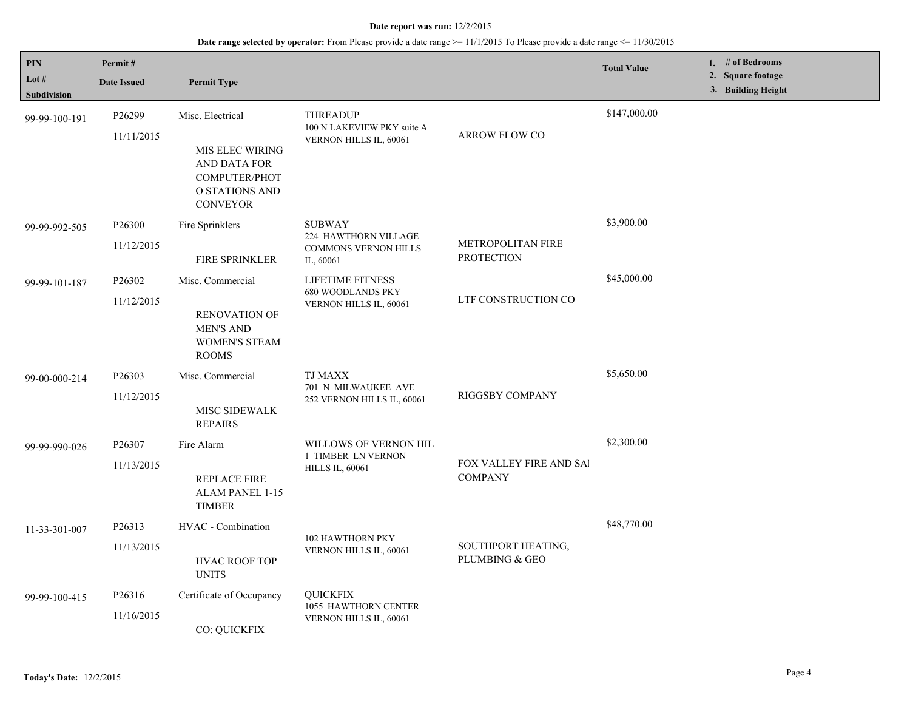| PIN<br>Lot #<br>Subdivision | Permit#<br><b>Date Issued</b>    | <b>Permit Type</b>                                                                                                      |                                                                                   |                                           | <b>Total Value</b> | 1. # of Bedrooms<br>2. Square footage<br>3. Building Height |
|-----------------------------|----------------------------------|-------------------------------------------------------------------------------------------------------------------------|-----------------------------------------------------------------------------------|-------------------------------------------|--------------------|-------------------------------------------------------------|
| 99-99-100-191               | P26299<br>11/11/2015             | Misc. Electrical<br>MIS ELEC WIRING<br>AND DATA FOR<br><b>COMPUTER/PHOT</b><br><b>O STATIONS AND</b><br><b>CONVEYOR</b> | <b>THREADUP</b><br>100 N LAKEVIEW PKY suite A<br>VERNON HILLS IL, 60061           | ARROW FLOW CO                             | \$147,000.00       |                                                             |
| 99-99-992-505               | P26300<br>11/12/2015             | Fire Sprinklers<br><b>FIRE SPRINKLER</b>                                                                                | <b>SUBWAY</b><br>224 HAWTHORN VILLAGE<br><b>COMMONS VERNON HILLS</b><br>IL, 60061 | METROPOLITAN FIRE<br><b>PROTECTION</b>    | \$3,900.00         |                                                             |
| 99-99-101-187               | P <sub>26302</sub><br>11/12/2015 | Misc. Commercial<br><b>RENOVATION OF</b><br><b>MEN'S AND</b><br><b>WOMEN'S STEAM</b><br><b>ROOMS</b>                    | LIFETIME FITNESS<br><b>680 WOODLANDS PKY</b><br>VERNON HILLS IL, 60061            | LTF CONSTRUCTION CO                       | \$45,000.00        |                                                             |
| 99-00-000-214               | P <sub>26303</sub><br>11/12/2015 | Misc. Commercial<br>MISC SIDEWALK<br><b>REPAIRS</b>                                                                     | TJ MAXX<br>701 N MILWAUKEE AVE<br>252 VERNON HILLS IL, 60061                      | RIGGSBY COMPANY                           | \$5,650.00         |                                                             |
| 99-99-990-026               | P26307<br>11/13/2015             | Fire Alarm<br>REPLACE FIRE<br>ALAM PANEL 1-15<br><b>TIMBER</b>                                                          | WILLOWS OF VERNON HIL<br>1 TIMBER LN VERNON<br><b>HILLS IL, 60061</b>             | FOX VALLEY FIRE AND SAI<br><b>COMPANY</b> | \$2,300.00         |                                                             |
| 11-33-301-007               | P26313<br>11/13/2015             | HVAC - Combination<br><b>HVAC ROOF TOP</b><br><b>UNITS</b>                                                              | 102 HAWTHORN PKY<br>VERNON HILLS IL, 60061                                        | SOUTHPORT HEATING,<br>PLUMBING & GEO      | \$48,770.00        |                                                             |
| 99-99-100-415               | P <sub>26316</sub><br>11/16/2015 | Certificate of Occupancy<br>CO: QUICKFIX                                                                                | <b>QUICKFIX</b><br>1055 HAWTHORN CENTER<br>VERNON HILLS IL, 60061                 |                                           |                    |                                                             |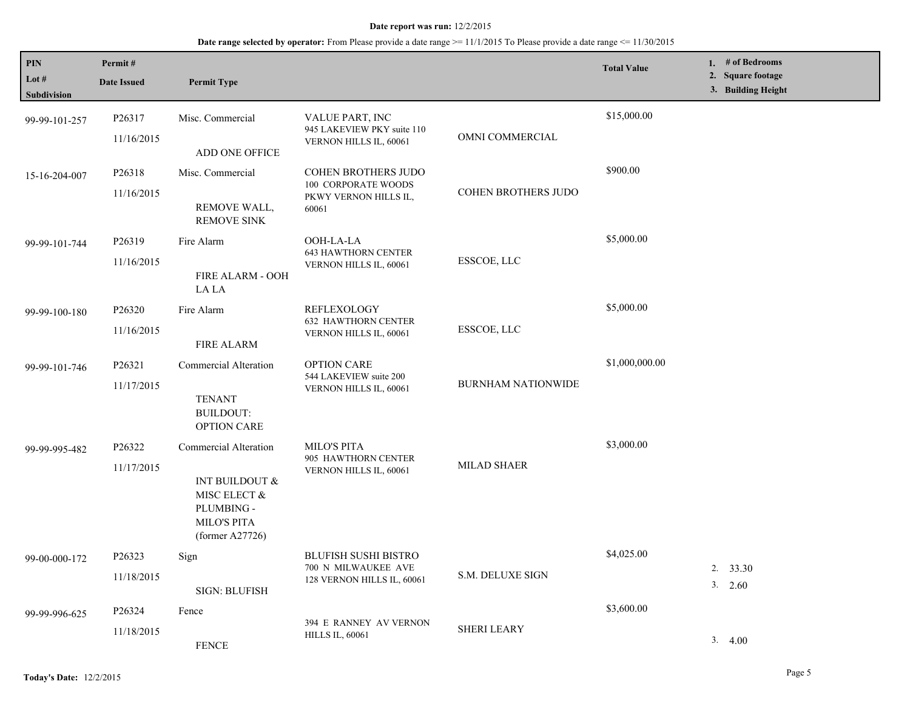| <b>PIN</b><br>Lot $#$<br>Subdivision | Permit#<br><b>Date Issued</b> | <b>Permit Type</b>                                                                                             |                                                                                            |                           | <b>Total Value</b> | 1. # of Bedrooms<br>2. Square footage<br>3. Building Height |
|--------------------------------------|-------------------------------|----------------------------------------------------------------------------------------------------------------|--------------------------------------------------------------------------------------------|---------------------------|--------------------|-------------------------------------------------------------|
| 99-99-101-257                        | P26317<br>11/16/2015          | Misc. Commercial<br>ADD ONE OFFICE                                                                             | VALUE PART, INC<br>945 LAKEVIEW PKY suite 110<br>VERNON HILLS IL, 60061                    | OMNI COMMERCIAL           | \$15,000.00        |                                                             |
| 15-16-204-007                        | P26318<br>11/16/2015          | Misc. Commercial<br>REMOVE WALL,<br><b>REMOVE SINK</b>                                                         | <b>COHEN BROTHERS JUDO</b><br><b>100 CORPORATE WOODS</b><br>PKWY VERNON HILLS IL,<br>60061 | COHEN BROTHERS JUDO       | \$900.00           |                                                             |
| 99-99-101-744                        | P26319<br>11/16/2015          | Fire Alarm<br>FIRE ALARM - OOH<br>LA LA                                                                        | OOH-LA-LA<br><b>643 HAWTHORN CENTER</b><br>VERNON HILLS IL, 60061                          | ESSCOE, LLC               | \$5,000.00         |                                                             |
| 99-99-100-180                        | P26320<br>11/16/2015          | Fire Alarm<br><b>FIRE ALARM</b>                                                                                | <b>REFLEXOLOGY</b><br><b>632 HAWTHORN CENTER</b><br>VERNON HILLS IL, 60061                 | ESSCOE, LLC               | \$5,000.00         |                                                             |
| 99-99-101-746                        | P26321<br>11/17/2015          | Commercial Alteration<br><b>TENANT</b><br><b>BUILDOUT:</b><br><b>OPTION CARE</b>                               | <b>OPTION CARE</b><br>544 LAKEVIEW suite 200<br>VERNON HILLS IL, 60061                     | <b>BURNHAM NATIONWIDE</b> | \$1,000,000.00     |                                                             |
| 99-99-995-482                        | P26322<br>11/17/2015          | Commercial Alteration<br>INT BUILDOUT &<br>MISC ELECT &<br>PLUMBING -<br><b>MILO'S PITA</b><br>(former A27726) | <b>MILO'S PITA</b><br>905 HAWTHORN CENTER<br>VERNON HILLS IL, 60061                        | <b>MILAD SHAER</b>        | \$3,000.00         |                                                             |
| 99-00-000-172                        | P26323<br>11/18/2015          | Sign<br><b>SIGN: BLUFISH</b>                                                                                   | <b>BLUFISH SUSHI BISTRO</b><br>700 N MILWAUKEE AVE<br>128 VERNON HILLS IL, 60061           | <b>S.M. DELUXE SIGN</b>   | \$4,025.00         | 2. 33.30<br>3. 2.60                                         |
| 99-99-996-625                        | P26324<br>11/18/2015          | Fence<br><b>FENCE</b>                                                                                          | 394 E RANNEY AV VERNON<br><b>HILLS IL, 60061</b>                                           | <b>SHERI LEARY</b>        | \$3,600.00         | 3.4.00                                                      |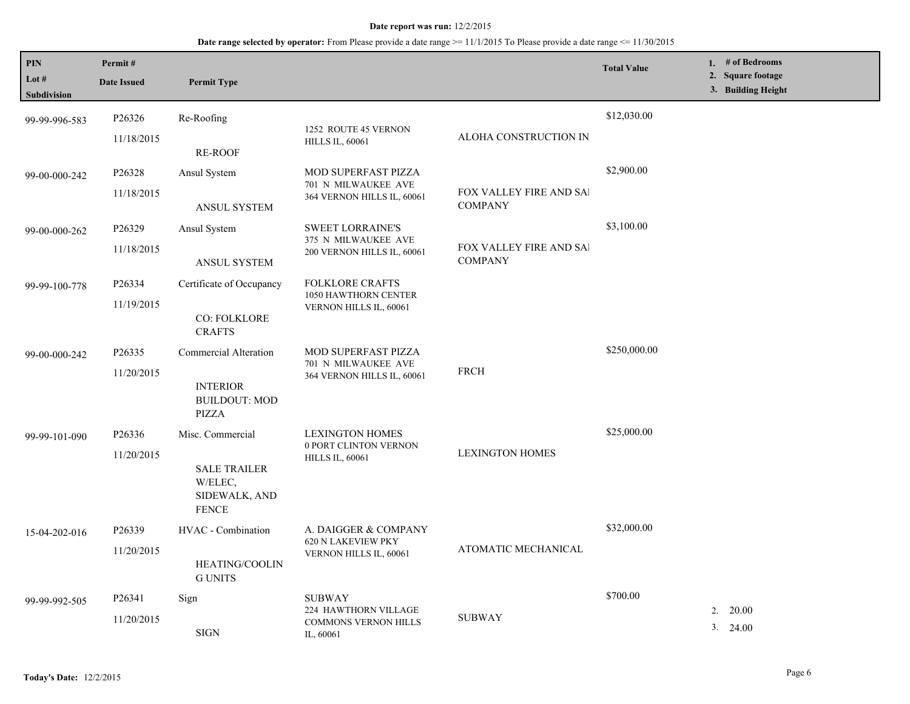| <b>PIN</b>           | Permit#              |                                                                 |                                                   |                                           | <b>Total Value</b> | 1. # of Bedrooms<br>2. Square footage |
|----------------------|----------------------|-----------------------------------------------------------------|---------------------------------------------------|-------------------------------------------|--------------------|---------------------------------------|
| Lot #<br>Subdivision | <b>Date Issued</b>   | <b>Permit Type</b>                                              |                                                   |                                           |                    | 3. Building Height                    |
| 99-99-996-583        | P26326               | Re-Roofing                                                      | 1252 ROUTE 45 VERNON                              |                                           | \$12,030.00        |                                       |
|                      | 11/18/2015           | <b>RE-ROOF</b>                                                  | <b>HILLS IL, 60061</b>                            | ALOHA CONSTRUCTION IN                     |                    |                                       |
| 99-00-000-242        | P26328               | Ansul System                                                    | <b>MOD SUPERFAST PIZZA</b><br>701 N MILWAUKEE AVE |                                           | \$2,900.00         |                                       |
|                      | 11/18/2015           | <b>ANSUL SYSTEM</b>                                             | 364 VERNON HILLS IL, 60061                        | FOX VALLEY FIRE AND SAI<br><b>COMPANY</b> |                    |                                       |
| 99-00-000-262        | P26329               | Ansul System                                                    | <b>SWEET LORRAINE'S</b><br>375 N MILWAUKEE AVE    |                                           | \$3,100.00         |                                       |
|                      | 11/18/2015           | ANSUL SYSTEM                                                    | 200 VERNON HILLS IL, 60061                        | FOX VALLEY FIRE AND SAI<br><b>COMPANY</b> |                    |                                       |
| 99-99-100-778        | P26334               | Certificate of Occupancy                                        | <b>FOLKLORE CRAFTS</b><br>1050 HAWTHORN CENTER    |                                           |                    |                                       |
|                      | 11/19/2015           | <b>CO: FOLKLORE</b><br><b>CRAFTS</b>                            | VERNON HILLS IL, 60061                            |                                           |                    |                                       |
| 99-00-000-242        | P26335               | Commercial Alteration                                           | <b>MOD SUPERFAST PIZZA</b><br>701 N MILWAUKEE AVE |                                           | \$250,000.00       |                                       |
|                      | 11/20/2015           | <b>INTERIOR</b><br><b>BUILDOUT: MOD</b><br>PIZZA                | 364 VERNON HILLS IL, 60061                        | <b>FRCH</b>                               |                    |                                       |
| 99-99-101-090        | P26336<br>11/20/2015 | Misc. Commercial                                                | <b>LEXINGTON HOMES</b><br>0 PORT CLINTON VERNON   | <b>LEXINGTON HOMES</b>                    | \$25,000.00        |                                       |
|                      |                      | <b>SALE TRAILER</b><br>W/ELEC,<br>SIDEWALK, AND<br><b>FENCE</b> | <b>HILLS IL, 60061</b>                            |                                           |                    |                                       |
| 15-04-202-016        | P26339               | HVAC - Combination                                              | A. DAIGGER & COMPANY<br><b>620 N LAKEVIEW PKY</b> |                                           | \$32,000.00        |                                       |
|                      | 11/20/2015           | HEATING/COOLIN<br><b>G UNITS</b>                                | VERNON HILLS IL, 60061                            | ATOMATIC MECHANICAL                       |                    |                                       |
| 99-99-992-505        | P26341               | Sign                                                            | <b>SUBWAY</b><br>224 HAWTHORN VILLAGE             |                                           | \$700.00           | 20.00<br>2.                           |
|                      | 11/20/2015           | <b>SIGN</b>                                                     | <b>COMMONS VERNON HILLS</b><br>IL, 60061          | <b>SUBWAY</b>                             |                    | 3. 24.00                              |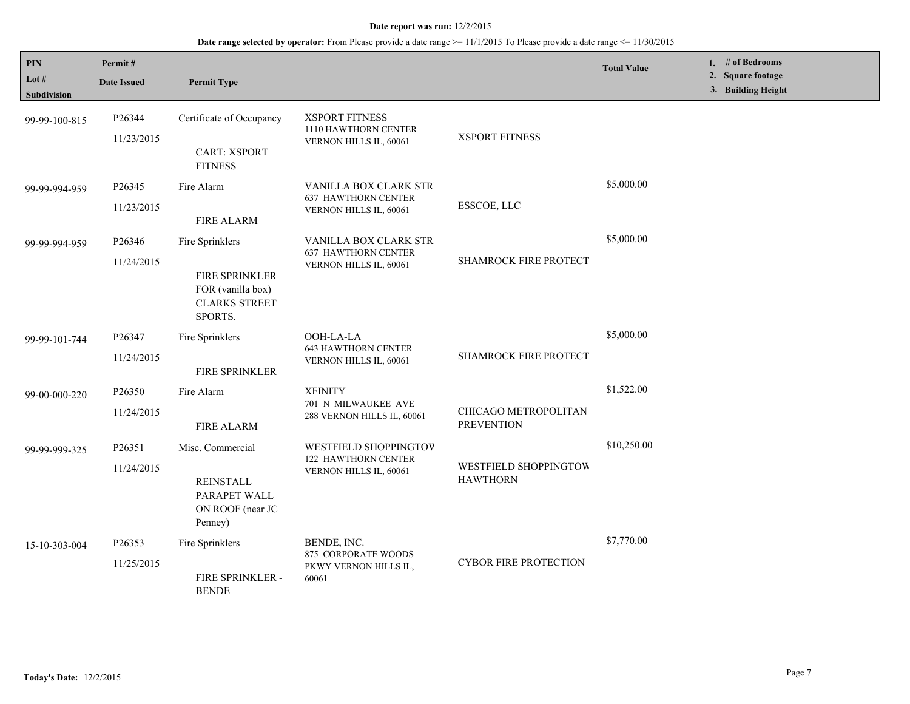| PIN<br>Lot #<br><b>Subdivision</b> | Permit#<br><b>Date Issued</b>     | <b>Permit Type</b>                                                                        |                                                                               |                                           | <b>Total Value</b> | 1. # of Bedrooms<br>2. Square footage<br>3. Building Height |
|------------------------------------|-----------------------------------|-------------------------------------------------------------------------------------------|-------------------------------------------------------------------------------|-------------------------------------------|--------------------|-------------------------------------------------------------|
| 99-99-100-815                      | P26344<br>11/23/2015              | Certificate of Occupancy<br><b>CART: XSPORT</b><br><b>FITNESS</b>                         | <b>XSPORT FITNESS</b><br>1110 HAWTHORN CENTER<br>VERNON HILLS IL, 60061       | <b>XSPORT FITNESS</b>                     |                    |                                                             |
| 99-99-994-959                      | P <sub>26</sub> 345<br>11/23/2015 | Fire Alarm<br><b>FIRE ALARM</b>                                                           | VANILLA BOX CLARK STR<br><b>637 HAWTHORN CENTER</b><br>VERNON HILLS IL, 60061 | ESSCOE, LLC                               | \$5,000.00         |                                                             |
| 99-99-994-959                      | P26346<br>11/24/2015              | Fire Sprinklers<br>FIRE SPRINKLER<br>FOR (vanilla box)<br><b>CLARKS STREET</b><br>SPORTS. | VANILLA BOX CLARK STR<br><b>637 HAWTHORN CENTER</b><br>VERNON HILLS IL, 60061 | SHAMROCK FIRE PROTECT                     | \$5,000.00         |                                                             |
| 99-99-101-744                      | P26347<br>11/24/2015              | Fire Sprinklers<br>FIRE SPRINKLER                                                         | OOH-LA-LA<br><b>643 HAWTHORN CENTER</b><br>VERNON HILLS IL, 60061             | SHAMROCK FIRE PROTECT                     | \$5,000.00         |                                                             |
| 99-00-000-220                      | P26350<br>11/24/2015              | Fire Alarm<br><b>FIRE ALARM</b>                                                           | <b>XFINITY</b><br>701 N MILWAUKEE AVE<br>288 VERNON HILLS IL, 60061           | CHICAGO METROPOLITAN<br><b>PREVENTION</b> | \$1,522.00         |                                                             |
| 99-99-999-325                      | P26351<br>11/24/2015              | Misc. Commercial<br><b>REINSTALL</b><br>PARAPET WALL<br>ON ROOF (near JC<br>Penney)       | WESTFIELD SHOPPINGTOW<br>122 HAWTHORN CENTER<br>VERNON HILLS IL, 60061        | WESTFIELD SHOPPINGTOW<br><b>HAWTHORN</b>  | \$10,250.00        |                                                             |
| 15-10-303-004                      | P26353<br>11/25/2015              | Fire Sprinklers<br>FIRE SPRINKLER -<br><b>BENDE</b>                                       | BENDE, INC.<br>875 CORPORATE WOODS<br>PKWY VERNON HILLS IL,<br>60061          | <b>CYBOR FIRE PROTECTION</b>              | \$7,770.00         |                                                             |